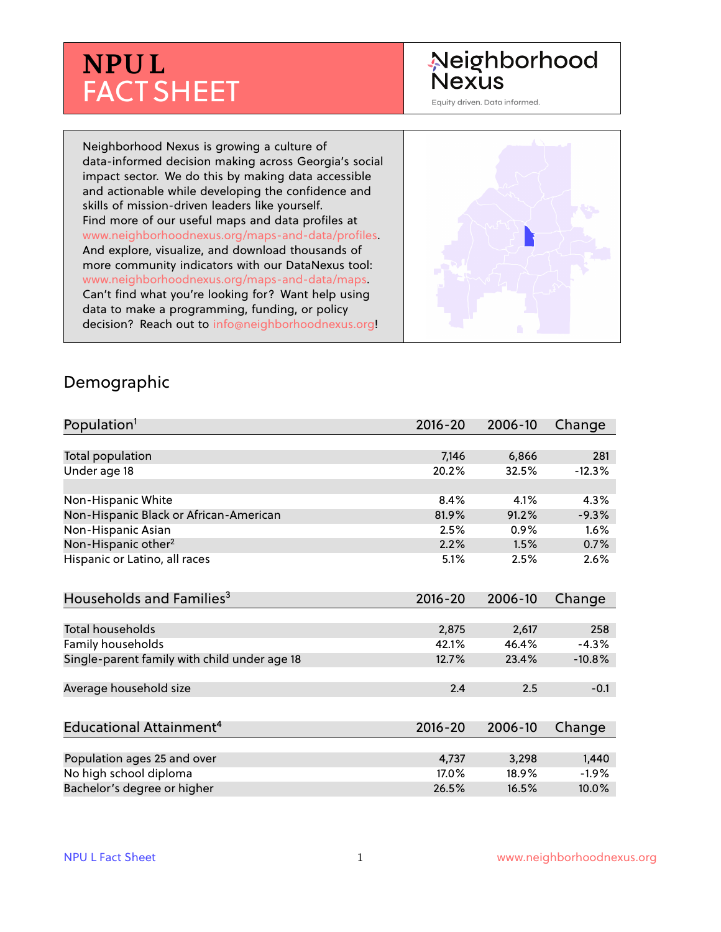# **NPU L** FACT SHEET

## Neighborhood **Nexus**

Equity driven. Data informed.

Neighborhood Nexus is growing a culture of data-informed decision making across Georgia's social impact sector. We do this by making data accessible and actionable while developing the confidence and skills of mission-driven leaders like yourself. Find more of our useful maps and data profiles at www.neighborhoodnexus.org/maps-and-data/profiles. And explore, visualize, and download thousands of more community indicators with our DataNexus tool: www.neighborhoodnexus.org/maps-and-data/maps. Can't find what you're looking for? Want help using data to make a programming, funding, or policy decision? Reach out to [info@neighborhoodnexus.org!](mailto:info@neighborhoodnexus.org)



#### Demographic

| Population <sup>1</sup>                      | $2016 - 20$ | 2006-10 | Change   |
|----------------------------------------------|-------------|---------|----------|
|                                              |             |         |          |
| Total population                             | 7,146       | 6,866   | 281      |
| Under age 18                                 | 20.2%       | 32.5%   | $-12.3%$ |
|                                              |             |         |          |
| Non-Hispanic White                           | 8.4%        | 4.1%    | 4.3%     |
| Non-Hispanic Black or African-American       | 81.9%       | 91.2%   | $-9.3%$  |
| Non-Hispanic Asian                           | 2.5%        | 0.9%    | 1.6%     |
| Non-Hispanic other <sup>2</sup>              | 2.2%        | 1.5%    | 0.7%     |
| Hispanic or Latino, all races                | 5.1%        | 2.5%    | 2.6%     |
| Households and Families <sup>3</sup>         | $2016 - 20$ | 2006-10 | Change   |
|                                              |             |         |          |
| <b>Total households</b>                      | 2,875       | 2,617   | 258      |
| Family households                            | 42.1%       | 46.4%   | $-4.3%$  |
| Single-parent family with child under age 18 | 12.7%       | 23.4%   | $-10.8%$ |
|                                              |             |         |          |
| Average household size                       | 2.4         | 2.5     | $-0.1$   |
|                                              |             |         |          |
| Educational Attainment <sup>4</sup>          | $2016 - 20$ | 2006-10 | Change   |
|                                              |             |         |          |
| Population ages 25 and over                  | 4,737       | 3,298   | 1,440    |
| No high school diploma                       | 17.0%       | 18.9%   | $-1.9\%$ |
| Bachelor's degree or higher                  | 26.5%       | 16.5%   | 10.0%    |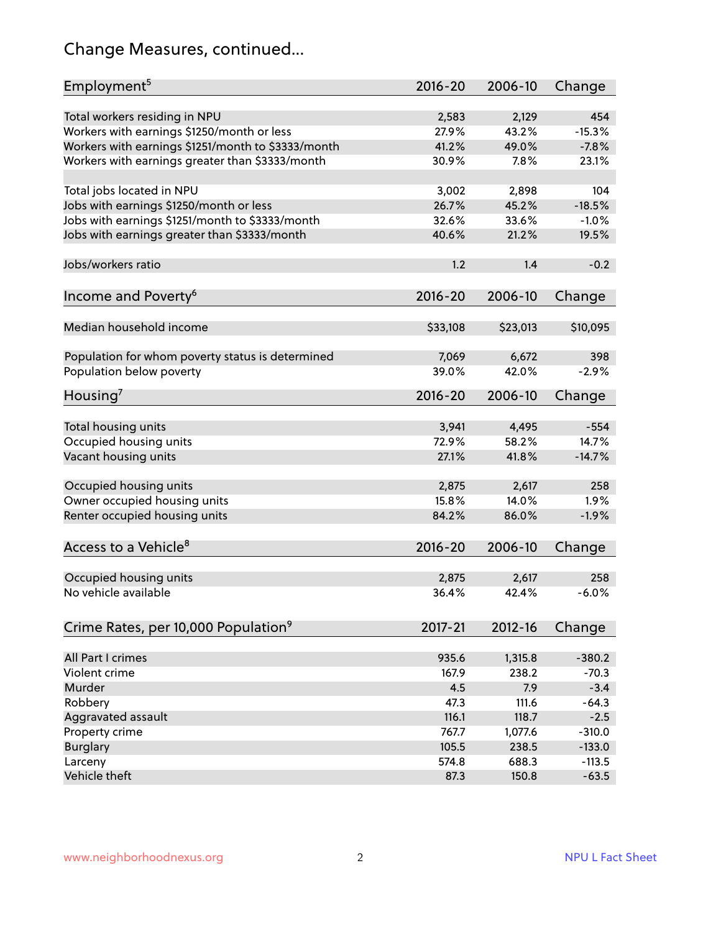## Change Measures, continued...

| Employment <sup>5</sup>                            | $2016 - 20$ | 2006-10     | Change   |
|----------------------------------------------------|-------------|-------------|----------|
|                                                    |             |             |          |
| Total workers residing in NPU                      | 2,583       | 2,129       | 454      |
| Workers with earnings \$1250/month or less         | 27.9%       | 43.2%       | $-15.3%$ |
| Workers with earnings \$1251/month to \$3333/month | 41.2%       | 49.0%       | $-7.8%$  |
| Workers with earnings greater than \$3333/month    | 30.9%       | 7.8%        | 23.1%    |
| Total jobs located in NPU                          | 3,002       | 2,898       | 104      |
| Jobs with earnings \$1250/month or less            | 26.7%       | 45.2%       | $-18.5%$ |
| Jobs with earnings \$1251/month to \$3333/month    | 32.6%       | 33.6%       | $-1.0%$  |
|                                                    | 40.6%       |             |          |
| Jobs with earnings greater than \$3333/month       |             | 21.2%       | 19.5%    |
| Jobs/workers ratio                                 | 1.2         | 1.4         | $-0.2$   |
|                                                    | $2016 - 20$ | 2006-10     | Change   |
| Income and Poverty <sup>6</sup>                    |             |             |          |
| Median household income                            | \$33,108    | \$23,013    | \$10,095 |
|                                                    |             |             |          |
| Population for whom poverty status is determined   | 7,069       | 6,672       | 398      |
| Population below poverty                           | 39.0%       | 42.0%       | $-2.9%$  |
| Housing <sup>7</sup>                               | 2016-20     | 2006-10     | Change   |
|                                                    |             |             |          |
| Total housing units                                | 3,941       | 4,495       | $-554$   |
| Occupied housing units                             | 72.9%       | 58.2%       | 14.7%    |
| Vacant housing units                               | 27.1%       | 41.8%       | $-14.7%$ |
| Occupied housing units                             |             | 2,617       | 258      |
|                                                    | 2,875       |             |          |
| Owner occupied housing units                       | 15.8%       | 14.0%       | 1.9%     |
| Renter occupied housing units                      | 84.2%       | 86.0%       | $-1.9%$  |
| Access to a Vehicle <sup>8</sup>                   | $2016 - 20$ | 2006-10     | Change   |
|                                                    |             |             |          |
| Occupied housing units                             | 2,875       | 2,617       | 258      |
| No vehicle available                               | 36.4%       | 42.4%       | $-6.0%$  |
|                                                    |             |             |          |
| Crime Rates, per 10,000 Population <sup>9</sup>    | 2017-21     | $2012 - 16$ | Change   |
|                                                    |             |             |          |
| All Part I crimes                                  | 935.6       | 1,315.8     | $-380.2$ |
| Violent crime                                      | 167.9       | 238.2       | $-70.3$  |
| Murder                                             | 4.5         | 7.9         | $-3.4$   |
| Robbery                                            | 47.3        | 111.6       | $-64.3$  |
| Aggravated assault                                 | 116.1       | 118.7       | $-2.5$   |
| Property crime                                     | 767.7       | 1,077.6     | $-310.0$ |
| <b>Burglary</b>                                    | 105.5       | 238.5       | $-133.0$ |
| Larceny                                            | 574.8       | 688.3       | $-113.5$ |
| Vehicle theft                                      | 87.3        | 150.8       | $-63.5$  |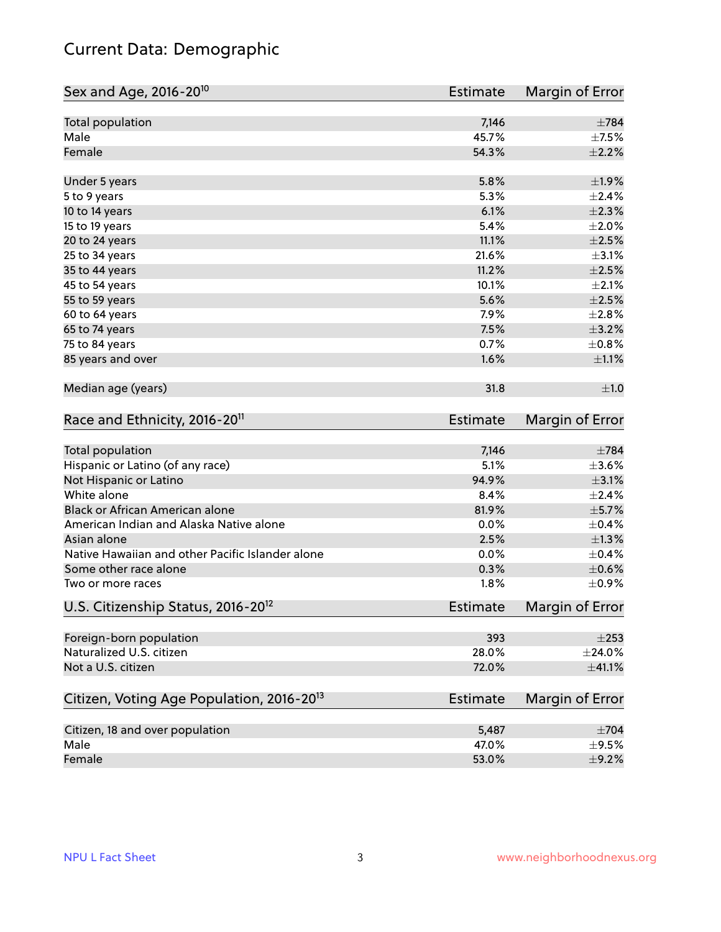## Current Data: Demographic

| Sex and Age, 2016-20 <sup>10</sup>                    | Estimate        | Margin of Error |
|-------------------------------------------------------|-----------------|-----------------|
| Total population                                      | 7,146           | $\pm 784$       |
| Male                                                  | 45.7%           | $\pm$ 7.5%      |
| Female                                                | 54.3%           | $\pm 2.2\%$     |
| Under 5 years                                         | 5.8%            | ±1.9%           |
| 5 to 9 years                                          | 5.3%            | ±2.4%           |
| 10 to 14 years                                        | 6.1%            | $\pm 2.3\%$     |
| 15 to 19 years                                        | 5.4%            | $\pm 2.0\%$     |
| 20 to 24 years                                        | 11.1%           | $\pm 2.5\%$     |
| 25 to 34 years                                        | 21.6%           | $\pm$ 3.1%      |
| 35 to 44 years                                        | 11.2%           | $\pm 2.5\%$     |
| 45 to 54 years                                        | 10.1%           | $\pm 2.1\%$     |
| 55 to 59 years                                        | 5.6%            | $\pm 2.5\%$     |
| 60 to 64 years                                        | 7.9%            | ±2.8%           |
| 65 to 74 years                                        | 7.5%            | $\pm$ 3.2%      |
| 75 to 84 years                                        | 0.7%            | $\pm$ 0.8%      |
| 85 years and over                                     | 1.6%            | $\pm 1.1\%$     |
| Median age (years)                                    | 31.8            | ±1.0            |
| Race and Ethnicity, 2016-20 <sup>11</sup>             | Estimate        | Margin of Error |
| Total population                                      | 7,146           | $\pm 784$       |
| Hispanic or Latino (of any race)                      | 5.1%            | $\pm 3.6\%$     |
| Not Hispanic or Latino                                | 94.9%           | $\pm$ 3.1%      |
| White alone                                           | 8.4%            | ±2.4%           |
| Black or African American alone                       | 81.9%           | $\pm$ 5.7%      |
| American Indian and Alaska Native alone               | 0.0%            | $\pm$ 0.4%      |
| Asian alone                                           | 2.5%            | $\pm 1.3\%$     |
| Native Hawaiian and other Pacific Islander alone      | 0.0%            | $\pm$ 0.4%      |
| Some other race alone                                 | 0.3%            | $\pm$ 0.6%      |
| Two or more races                                     | 1.8%            | $\pm$ 0.9%      |
| U.S. Citizenship Status, 2016-20 <sup>12</sup>        | <b>Estimate</b> | Margin of Error |
| Foreign-born population                               | 393             | $\pm 253$       |
| Naturalized U.S. citizen                              | 28.0%           | ±24.0%          |
| Not a U.S. citizen                                    | 72.0%           | ±41.1%          |
| Citizen, Voting Age Population, 2016-20 <sup>13</sup> | <b>Estimate</b> | Margin of Error |
| Citizen, 18 and over population                       | 5,487           | $\pm 704$       |
| Male                                                  | 47.0%           | $\pm$ 9.5%      |
| Female                                                | 53.0%           | $\pm$ 9.2%      |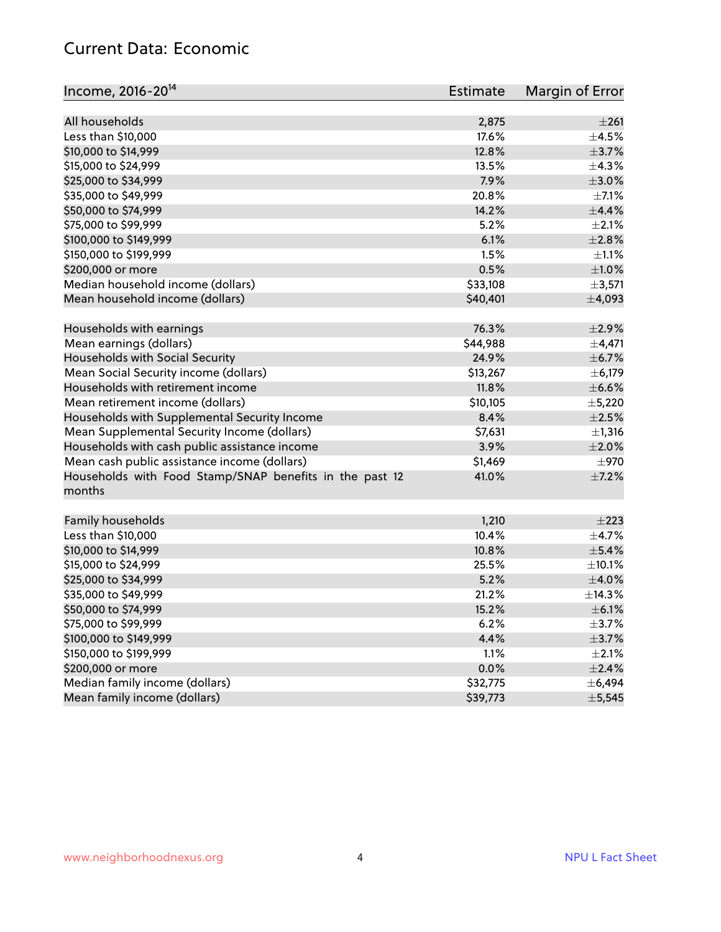#### Current Data: Economic

| Income, 2016-20 <sup>14</sup>                                     | <b>Estimate</b> | Margin of Error |
|-------------------------------------------------------------------|-----------------|-----------------|
| All households                                                    | 2,875           | $\pm 261$       |
| Less than \$10,000                                                | 17.6%           | $\pm$ 4.5%      |
| \$10,000 to \$14,999                                              | 12.8%           | $\pm$ 3.7%      |
|                                                                   |                 |                 |
| \$15,000 to \$24,999                                              | 13.5%           | ±4.3%           |
| \$25,000 to \$34,999                                              | 7.9%            | $\pm 3.0\%$     |
| \$35,000 to \$49,999                                              | 20.8%           | $\pm$ 7.1%      |
| \$50,000 to \$74,999                                              | 14.2%           | $\pm$ 4.4%      |
| \$75,000 to \$99,999                                              | 5.2%            | ±2.1%           |
| \$100,000 to \$149,999                                            | 6.1%            | ±2.8%           |
| \$150,000 to \$199,999                                            | 1.5%            | $\pm 1.1\%$     |
| \$200,000 or more                                                 | 0.5%            | $\pm1.0\%$      |
| Median household income (dollars)                                 | \$33,108        | ±3,571          |
| Mean household income (dollars)                                   | \$40,401        | ±4,093          |
| Households with earnings                                          | 76.3%           | $\pm 2.9\%$     |
| Mean earnings (dollars)                                           | \$44,988        | $\pm$ 4,471     |
| Households with Social Security                                   | 24.9%           | $\pm$ 6.7%      |
| Mean Social Security income (dollars)                             | \$13,267        | ± 6,179         |
| Households with retirement income                                 | 11.8%           | $\pm$ 6.6%      |
| Mean retirement income (dollars)                                  | \$10,105        | $\pm$ 5,220     |
| Households with Supplemental Security Income                      | 8.4%            | $\pm 2.5\%$     |
| Mean Supplemental Security Income (dollars)                       | \$7,631         | ±1,316          |
| Households with cash public assistance income                     | 3.9%            | $\pm 2.0\%$     |
| Mean cash public assistance income (dollars)                      | \$1,469         | $\pm$ 970       |
| Households with Food Stamp/SNAP benefits in the past 12<br>months | 41.0%           | $\pm$ 7.2%      |
|                                                                   |                 |                 |
| Family households                                                 | 1,210           | $\pm 223$       |
| Less than \$10,000                                                | 10.4%           | $\pm$ 4.7%      |
| \$10,000 to \$14,999                                              | 10.8%           | $\pm$ 5.4%      |
| \$15,000 to \$24,999                                              | 25.5%           | $\pm$ 10.1%     |
| \$25,000 to \$34,999                                              | 5.2%            | $\pm$ 4.0%      |
| \$35,000 to \$49,999                                              | 21.2%           | ±14.3%          |
| \$50,000 to \$74,999                                              | 15.2%           | $\pm$ 6.1%      |
| \$75,000 to \$99,999                                              | 6.2%            | $\pm$ 3.7%      |
| \$100,000 to \$149,999                                            | 4.4%            | $\pm$ 3.7%      |
| \$150,000 to \$199,999                                            | 1.1%            | $\pm 2.1\%$     |
| \$200,000 or more                                                 | 0.0%            | ±2.4%           |
| Median family income (dollars)                                    | \$32,775        | ± 6,494         |
| Mean family income (dollars)                                      | \$39,773        | $\pm$ 5,545     |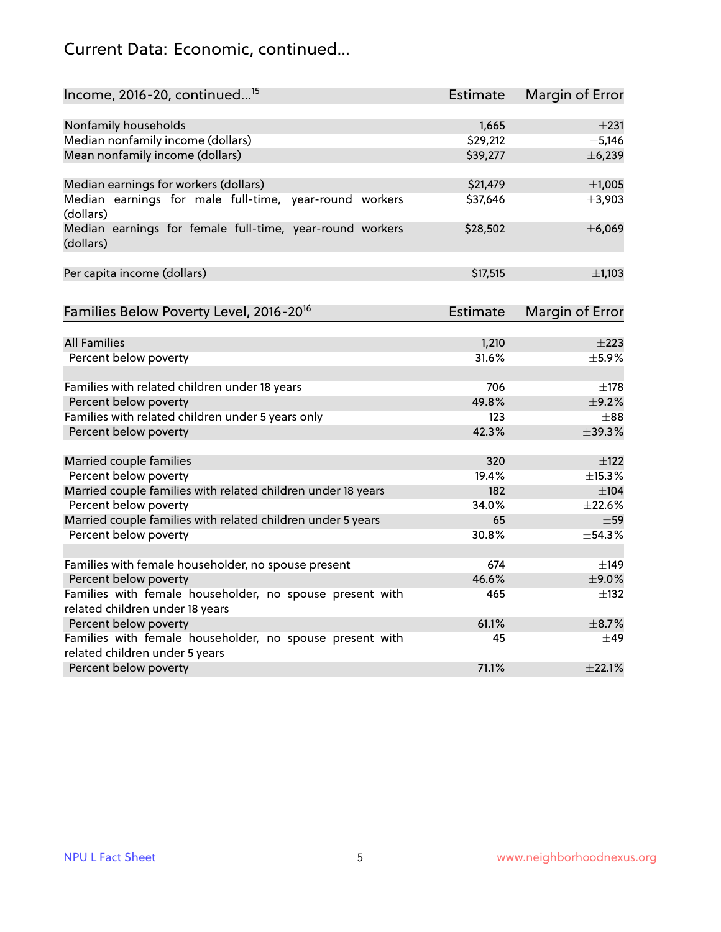## Current Data: Economic, continued...

| Income, 2016-20, continued <sup>15</sup>                              | <b>Estimate</b> | <b>Margin of Error</b> |
|-----------------------------------------------------------------------|-----------------|------------------------|
|                                                                       |                 |                        |
| Nonfamily households                                                  | 1,665           | $\pm 231$              |
| Median nonfamily income (dollars)                                     | \$29,212        | ± 5,146                |
| Mean nonfamily income (dollars)                                       | \$39,277        | ±6,239                 |
| Median earnings for workers (dollars)                                 | \$21,479        | ±1,005                 |
| Median earnings for male full-time, year-round workers<br>(dollars)   | \$37,646        | ±3,903                 |
| Median earnings for female full-time, year-round workers<br>(dollars) | \$28,502        | ±6,069                 |
| Per capita income (dollars)                                           | \$17,515        | ±1,103                 |
| Families Below Poverty Level, 2016-20 <sup>16</sup>                   | <b>Estimate</b> | <b>Margin of Error</b> |
|                                                                       |                 |                        |
| <b>All Families</b>                                                   | 1,210           | $\pm 223$              |
| Percent below poverty                                                 | 31.6%           | $\pm$ 5.9%             |
| Families with related children under 18 years                         | 706             | $\pm$ 178              |
| Percent below poverty                                                 | 49.8%           | $\pm$ 9.2%             |
| Families with related children under 5 years only                     | 123             | $\pm$ 88               |
| Percent below poverty                                                 | 42.3%           | ±39.3%                 |
| Married couple families                                               | 320             | $\pm$ 122              |
| Percent below poverty                                                 | 19.4%           | ±15.3%                 |
| Married couple families with related children under 18 years          | 182             | $\pm$ 104              |
| Percent below poverty                                                 | 34.0%           | ±22.6%                 |
| Married couple families with related children under 5 years           | 65              | $\pm$ 59               |
| Percent below poverty                                                 | 30.8%           | ±54.3%                 |
| Families with female householder, no spouse present                   | 674             | $\pm$ 149              |
| Percent below poverty                                                 | 46.6%           | ±9.0%                  |
| Families with female householder, no spouse present with              | 465             | $\pm$ 132              |
| related children under 18 years                                       |                 |                        |
| Percent below poverty                                                 | 61.1%           | ±8.7%                  |
| Families with female householder, no spouse present with              | 45              | $\pm$ 49               |
| related children under 5 years                                        |                 |                        |
| Percent below poverty                                                 | 71.1%           | ±22.1%                 |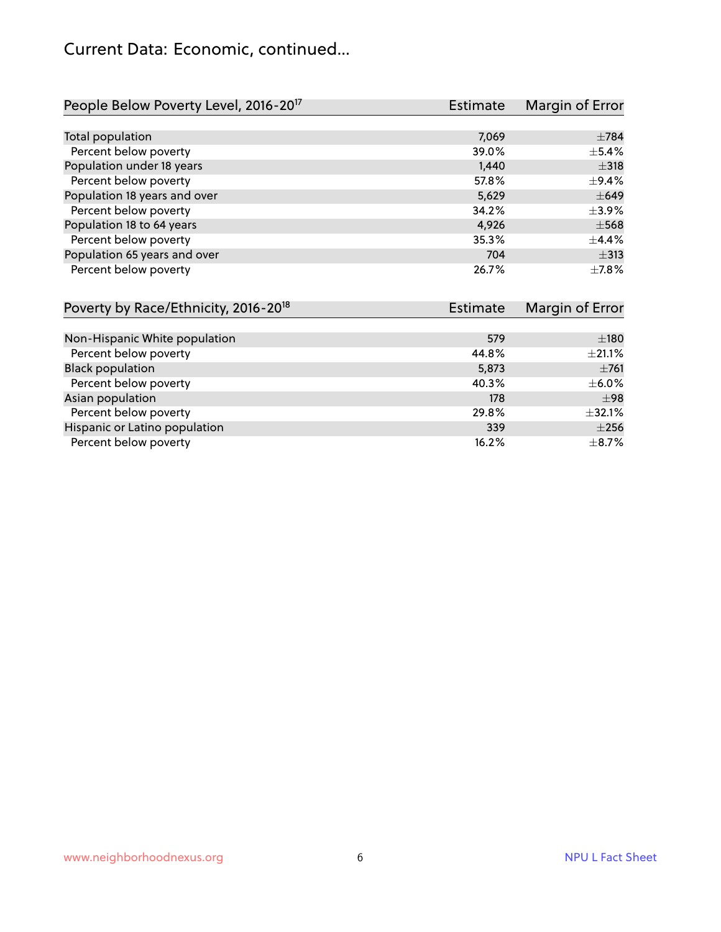#### Current Data: Economic, continued...

| People Below Poverty Level, 2016-20 <sup>17</sup> | <b>Estimate</b> | Margin of Error |
|---------------------------------------------------|-----------------|-----------------|
|                                                   |                 |                 |
| Total population                                  | 7,069           | $\pm 784$       |
| Percent below poverty                             | 39.0%           | $\pm$ 5.4%      |
| Population under 18 years                         | 1,440           | $\pm$ 318       |
| Percent below poverty                             | 57.8%           | $\pm$ 9.4%      |
| Population 18 years and over                      | 5,629           | $\pm 649$       |
| Percent below poverty                             | 34.2%           | $\pm$ 3.9%      |
| Population 18 to 64 years                         | 4.926           | $\pm$ 568       |
| Percent below poverty                             | 35.3%           | $\pm$ 4.4%      |
| Population 65 years and over                      | 704             | $\pm$ 313       |
| Percent below poverty                             | 26.7%           | $\pm$ 7.8%      |

| Poverty by Race/Ethnicity, 2016-20 <sup>18</sup> | <b>Estimate</b> | Margin of Error |
|--------------------------------------------------|-----------------|-----------------|
|                                                  |                 |                 |
| Non-Hispanic White population                    | 579             | $\pm 180$       |
| Percent below poverty                            | 44.8%           | $\pm 21.1\%$    |
| <b>Black population</b>                          | 5,873           | $\pm 761$       |
| Percent below poverty                            | 40.3%           | $\pm$ 6.0%      |
| Asian population                                 | 178             | $\pm$ 98        |
| Percent below poverty                            | 29.8%           | ±32.1%          |
| Hispanic or Latino population                    | 339             | $\pm 256$       |
| Percent below poverty                            | 16.2%           | $\pm$ 8.7%      |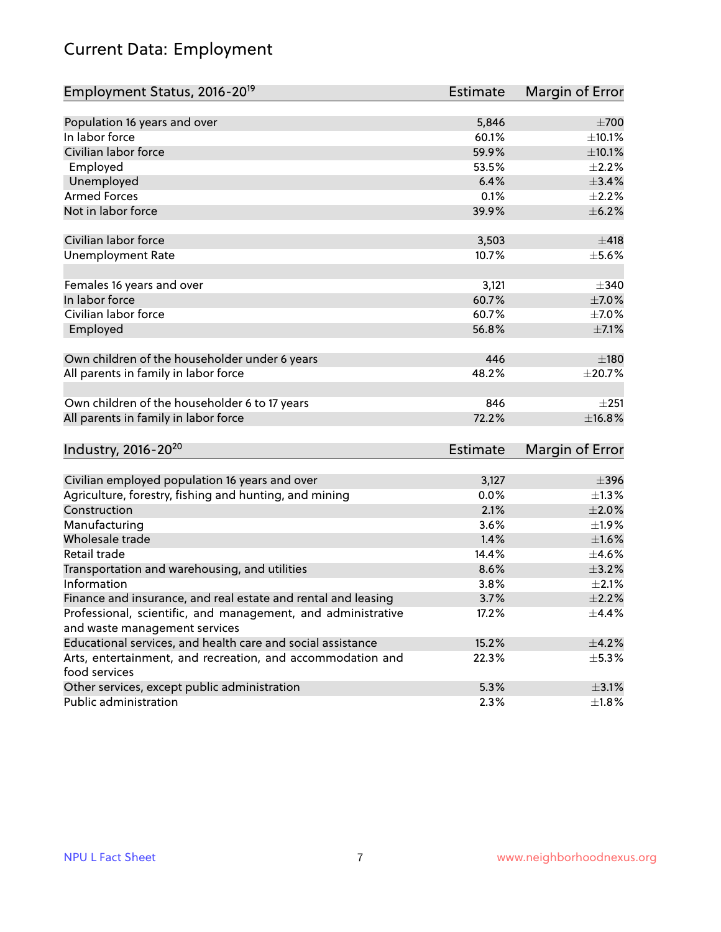## Current Data: Employment

| Employment Status, 2016-20 <sup>19</sup>                      | <b>Estimate</b> | Margin of Error |
|---------------------------------------------------------------|-----------------|-----------------|
|                                                               |                 |                 |
| Population 16 years and over                                  | 5,846           | $\pm 700$       |
| In labor force                                                | 60.1%           | ±10.1%          |
| Civilian labor force                                          | 59.9%           | $\pm 10.1\%$    |
| Employed                                                      | 53.5%           | $\pm 2.2\%$     |
| Unemployed                                                    | 6.4%            | $\pm$ 3.4%      |
| <b>Armed Forces</b>                                           | 0.1%            | $\pm 2.2\%$     |
| Not in labor force                                            | 39.9%           | $\pm$ 6.2%      |
| Civilian labor force                                          | 3,503           | ±418            |
| <b>Unemployment Rate</b>                                      | 10.7%           | $\pm$ 5.6%      |
|                                                               |                 |                 |
| Females 16 years and over                                     | 3,121           | $\pm$ 340       |
| In labor force                                                | 60.7%           | $\pm$ 7.0%      |
| Civilian labor force                                          | 60.7%           | $\pm$ 7.0%      |
| Employed                                                      | 56.8%           | $\pm$ 7.1%      |
| Own children of the householder under 6 years                 | 446             | $\pm 180$       |
|                                                               | 48.2%           |                 |
| All parents in family in labor force                          |                 | $\pm 20.7\%$    |
| Own children of the householder 6 to 17 years                 | 846             | $+251$          |
| All parents in family in labor force                          | 72.2%           | ±16.8%          |
|                                                               |                 |                 |
| Industry, 2016-20 <sup>20</sup>                               | Estimate        | Margin of Error |
| Civilian employed population 16 years and over                | 3,127           | $\pm$ 396       |
| Agriculture, forestry, fishing and hunting, and mining        | 0.0%            | $\pm$ 1.3%      |
| Construction                                                  | 2.1%            | $\pm 2.0\%$     |
| Manufacturing                                                 | 3.6%            | ±1.9%           |
| Wholesale trade                                               | 1.4%            | $\pm1.6\%$      |
| Retail trade                                                  | 14.4%           | $\pm$ 4.6%      |
| Transportation and warehousing, and utilities                 | 8.6%            | $\pm$ 3.2%      |
| Information                                                   | 3.8%            | $\pm 2.1\%$     |
| Finance and insurance, and real estate and rental and leasing | 3.7%            | $\pm 2.2\%$     |
| Professional, scientific, and management, and administrative  | 17.2%           | $\pm$ 4.4%      |
| and waste management services                                 |                 |                 |
| Educational services, and health care and social assistance   | 15.2%           | $\pm$ 4.2%      |
| Arts, entertainment, and recreation, and accommodation and    | 22.3%           | $\pm$ 5.3%      |
| food services                                                 |                 |                 |
| Other services, except public administration                  | 5.3%            | $\pm$ 3.1%      |
| Public administration                                         | 2.3%            | ±1.8%           |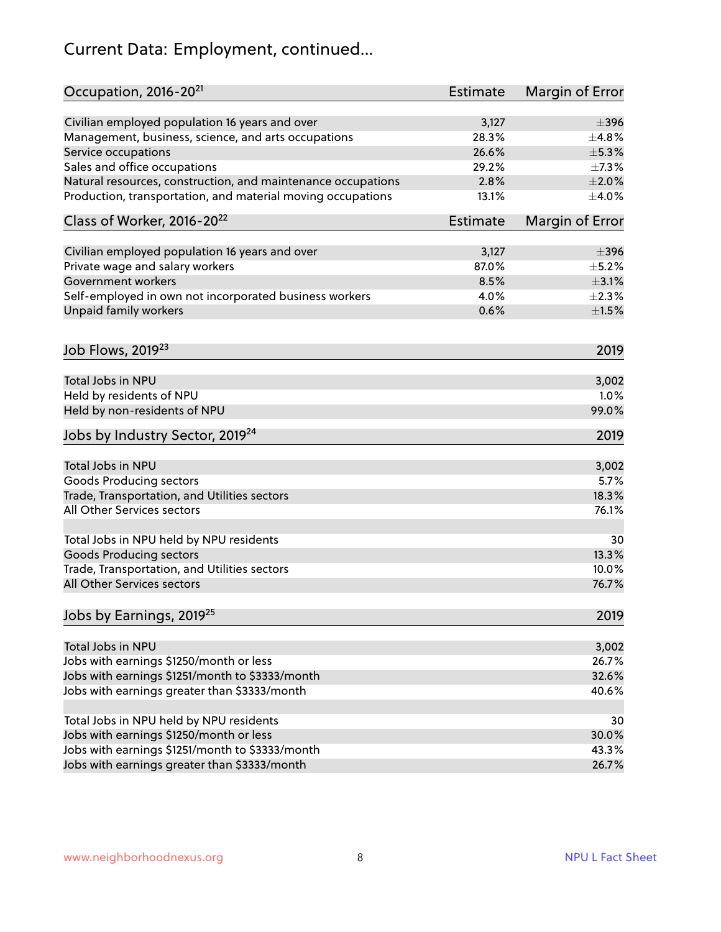## Current Data: Employment, continued...

| Occupation, 2016-20 <sup>21</sup>                                         | Estimate | Margin of Error |
|---------------------------------------------------------------------------|----------|-----------------|
| Civilian employed population 16 years and over                            | 3,127    | $\pm$ 396       |
| Management, business, science, and arts occupations                       | 28.3%    | ±4.8%           |
| Service occupations                                                       | 26.6%    | $\pm$ 5.3%      |
| Sales and office occupations                                              | 29.2%    | $\pm$ 7.3%      |
| Natural resources, construction, and maintenance occupations              | 2.8%     | $\pm 2.0\%$     |
| Production, transportation, and material moving occupations               | 13.1%    | $\pm 4.0\%$     |
| Class of Worker, 2016-20 <sup>22</sup>                                    | Estimate | Margin of Error |
| Civilian employed population 16 years and over                            | 3,127    | $\pm$ 396       |
| Private wage and salary workers                                           | 87.0%    | $\pm$ 5.2%      |
| <b>Government workers</b>                                                 | 8.5%     | $\pm$ 3.1%      |
| Self-employed in own not incorporated business workers                    | 4.0%     | $\pm 2.3\%$     |
| Unpaid family workers                                                     | 0.6%     | $\pm 1.5\%$     |
| Job Flows, 2019 <sup>23</sup>                                             |          | 2019            |
| <b>Total Jobs in NPU</b>                                                  |          | 3,002           |
| Held by residents of NPU                                                  |          | 1.0%            |
| Held by non-residents of NPU                                              |          | 99.0%           |
| Jobs by Industry Sector, 2019 <sup>24</sup>                               |          | 2019            |
| Total Jobs in NPU                                                         |          | 3,002           |
| <b>Goods Producing sectors</b>                                            |          | 5.7%            |
| Trade, Transportation, and Utilities sectors                              |          | 18.3%           |
| All Other Services sectors                                                |          | 76.1%           |
|                                                                           |          |                 |
| Total Jobs in NPU held by NPU residents<br><b>Goods Producing sectors</b> |          | 30<br>13.3%     |
| Trade, Transportation, and Utilities sectors                              |          | 10.0%           |
| All Other Services sectors                                                |          | 76.7%           |
| Jobs by Earnings, 2019 <sup>25</sup>                                      |          | 2019            |
|                                                                           |          |                 |
| Total Jobs in NPU                                                         |          | 3,002           |
| Jobs with earnings \$1250/month or less                                   |          | 26.7%           |
| Jobs with earnings \$1251/month to \$3333/month                           |          | 32.6%           |
| Jobs with earnings greater than \$3333/month                              |          | 40.6%           |
| Total Jobs in NPU held by NPU residents                                   |          | 30              |
| Jobs with earnings \$1250/month or less                                   |          | 30.0%           |
| Jobs with earnings \$1251/month to \$3333/month                           |          | 43.3%           |
| Jobs with earnings greater than \$3333/month                              |          | 26.7%           |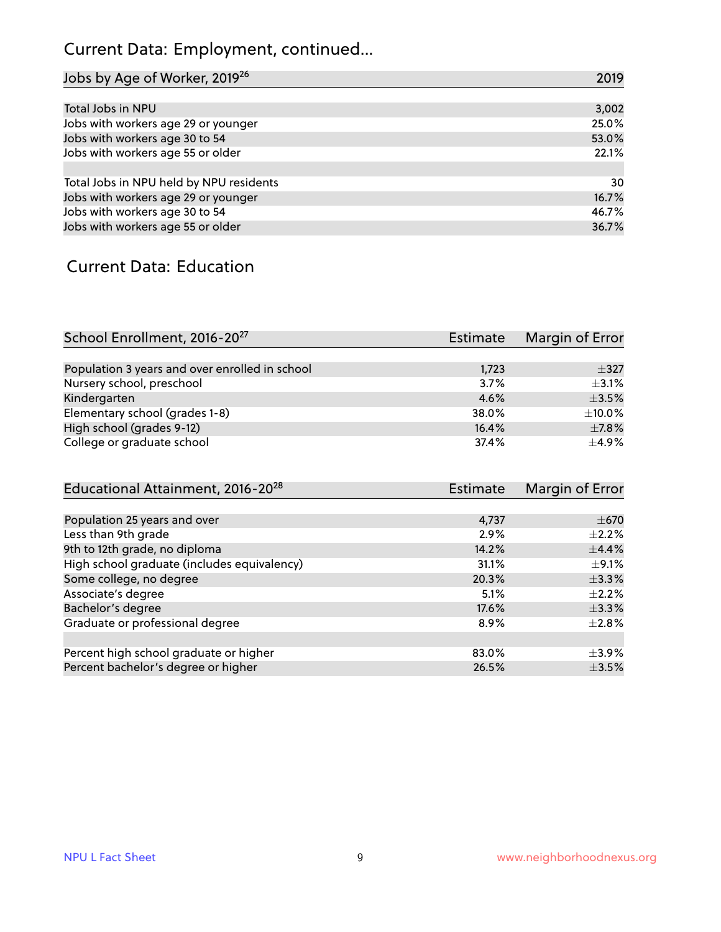## Current Data: Employment, continued...

| Jobs by Age of Worker, 2019 <sup>26</sup> | 2019  |
|-------------------------------------------|-------|
|                                           |       |
| Total Jobs in NPU                         | 3,002 |
| Jobs with workers age 29 or younger       | 25.0% |
| Jobs with workers age 30 to 54            | 53.0% |
| Jobs with workers age 55 or older         | 22.1% |
|                                           |       |
| Total Jobs in NPU held by NPU residents   | 30    |
| Jobs with workers age 29 or younger       | 16.7% |
| Jobs with workers age 30 to 54            | 46.7% |
| Jobs with workers age 55 or older         | 36.7% |

#### Current Data: Education

| School Enrollment, 2016-20 <sup>27</sup>       | Estimate | Margin of Error |
|------------------------------------------------|----------|-----------------|
|                                                |          |                 |
| Population 3 years and over enrolled in school | 1,723    | $\pm$ 327       |
| Nursery school, preschool                      | 3.7%     | $\pm$ 3.1%      |
| Kindergarten                                   | 4.6%     | $\pm$ 3.5%      |
| Elementary school (grades 1-8)                 | 38.0%    | $\pm 10.0\%$    |
| High school (grades 9-12)                      | 16.4%    | $\pm$ 7.8%      |
| College or graduate school                     | 37.4%    | $+4.9%$         |

| Educational Attainment, 2016-20 <sup>28</sup> | <b>Estimate</b> | Margin of Error |
|-----------------------------------------------|-----------------|-----------------|
|                                               |                 |                 |
| Population 25 years and over                  | 4,737           | $\pm$ 670       |
| Less than 9th grade                           | 2.9%            | $\pm 2.2\%$     |
| 9th to 12th grade, no diploma                 | 14.2%           | $\pm$ 4.4%      |
| High school graduate (includes equivalency)   | 31.1%           | $\pm$ 9.1%      |
| Some college, no degree                       | 20.3%           | $\pm$ 3.3%      |
| Associate's degree                            | 5.1%            | $\pm 2.2\%$     |
| Bachelor's degree                             | 17.6%           | $\pm$ 3.3%      |
| Graduate or professional degree               | 8.9%            | $\pm 2.8\%$     |
|                                               |                 |                 |
| Percent high school graduate or higher        | 83.0%           | $\pm$ 3.9%      |
| Percent bachelor's degree or higher           | 26.5%           | $\pm$ 3.5%      |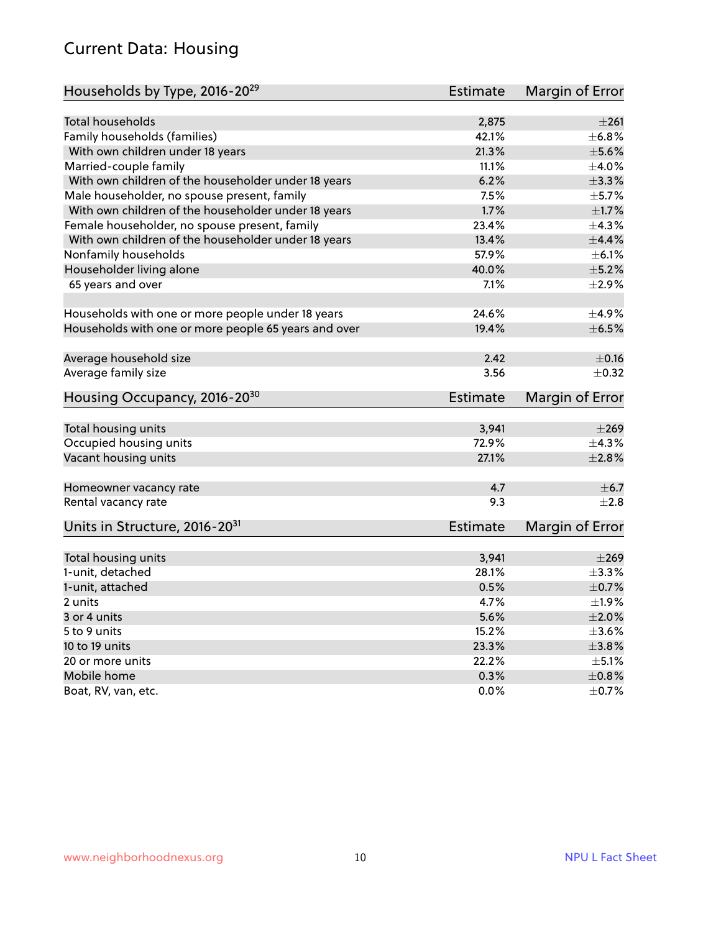#### Current Data: Housing

| Households by Type, 2016-20 <sup>29</sup>            | Estimate        | Margin of Error |
|------------------------------------------------------|-----------------|-----------------|
|                                                      |                 |                 |
| <b>Total households</b>                              | 2,875           | $\pm 261$       |
| Family households (families)                         | 42.1%           | ±6.8%           |
| With own children under 18 years                     | 21.3%           | $\pm$ 5.6%      |
| Married-couple family                                | 11.1%           | $\pm 4.0\%$     |
| With own children of the householder under 18 years  | 6.2%            | ±3.3%           |
| Male householder, no spouse present, family          | 7.5%            | $\pm$ 5.7%      |
| With own children of the householder under 18 years  | 1.7%            | $\pm1.7\%$      |
| Female householder, no spouse present, family        | 23.4%           | ±4.3%           |
| With own children of the householder under 18 years  | 13.4%           | $\pm$ 4.4%      |
| Nonfamily households                                 | 57.9%           | $\pm$ 6.1%      |
| Householder living alone                             | 40.0%           | $\pm$ 5.2%      |
| 65 years and over                                    | 7.1%            | $\pm 2.9\%$     |
|                                                      |                 |                 |
| Households with one or more people under 18 years    | 24.6%           | ±4.9%           |
| Households with one or more people 65 years and over | 19.4%           | $\pm$ 6.5%      |
| Average household size                               | 2.42            | $\pm$ 0.16      |
| Average family size                                  | 3.56            | $\pm$ 0.32      |
| Housing Occupancy, 2016-20 <sup>30</sup>             | Estimate        | Margin of Error |
|                                                      |                 |                 |
| Total housing units                                  | 3,941           | $\pm 269$       |
| Occupied housing units                               | 72.9%           | ±4.3%           |
| Vacant housing units                                 | 27.1%           | $\pm 2.8\%$     |
| Homeowner vacancy rate                               | 4.7             | $\pm$ 6.7       |
| Rental vacancy rate                                  | 9.3             | $\pm 2.8$       |
| Units in Structure, 2016-20 <sup>31</sup>            | <b>Estimate</b> | Margin of Error |
| Total housing units                                  | 3,941           | $\pm 269$       |
| 1-unit, detached                                     | 28.1%           | ±3.3%           |
| 1-unit, attached                                     | 0.5%            | $\pm$ 0.7%      |
| 2 units                                              | 4.7%            | ±1.9%           |
| 3 or 4 units                                         | 5.6%            | $\pm 2.0\%$     |
| 5 to 9 units                                         | 15.2%           | $\pm$ 3.6%      |
| 10 to 19 units                                       | 23.3%           | ±3.8%           |
| 20 or more units                                     | 22.2%           | $\pm$ 5.1%      |
| Mobile home                                          | 0.3%            | $\pm$ 0.8%      |
| Boat, RV, van, etc.                                  | 0.0%            | $\pm$ 0.7%      |
|                                                      |                 |                 |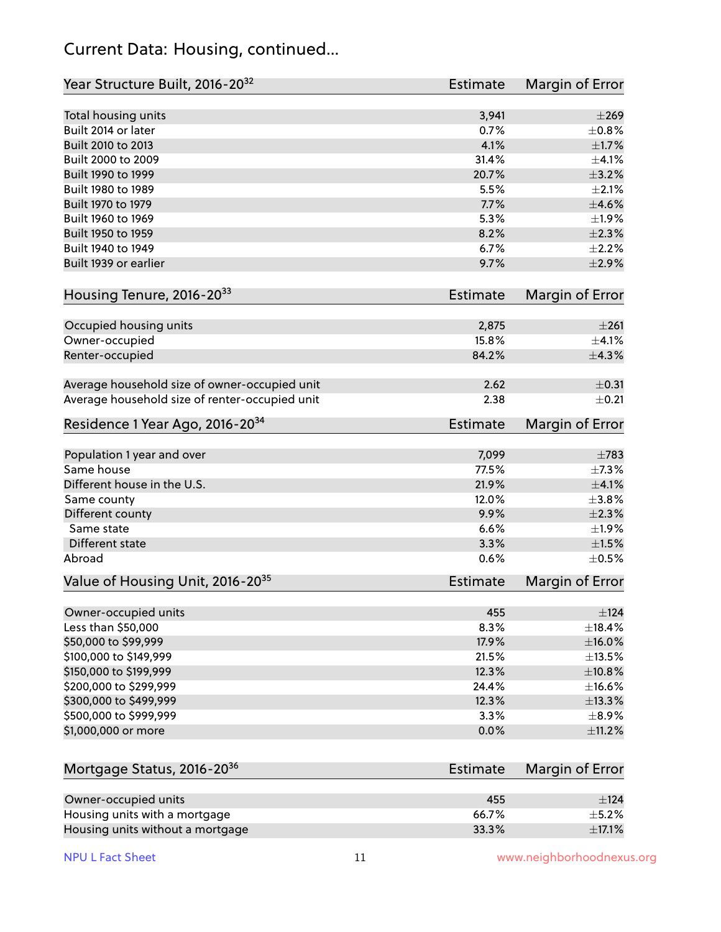#### Current Data: Housing, continued...

| Year Structure Built, 2016-20 <sup>32</sup>    | Estimate        | <b>Margin of Error</b> |
|------------------------------------------------|-----------------|------------------------|
| Total housing units                            | 3,941           | $\pm 269$              |
| Built 2014 or later                            | 0.7%            | $\pm$ 0.8%             |
| Built 2010 to 2013                             | 4.1%            | $\pm1.7\%$             |
| Built 2000 to 2009                             | 31.4%           | $\pm$ 4.1%             |
| Built 1990 to 1999                             | 20.7%           | ±3.2%                  |
| Built 1980 to 1989                             | 5.5%            | $\pm 2.1\%$            |
| Built 1970 to 1979                             | 7.7%            | $\pm 4.6\%$            |
| Built 1960 to 1969                             | 5.3%            | ±1.9%                  |
| Built 1950 to 1959                             | 8.2%            | $\pm 2.3\%$            |
| Built 1940 to 1949                             | 6.7%            | $\pm 2.2\%$            |
| Built 1939 or earlier                          | 9.7%            | $\pm 2.9\%$            |
| Housing Tenure, 2016-2033                      | Estimate        | Margin of Error        |
| Occupied housing units                         | 2,875           | $\pm 261$              |
| Owner-occupied                                 | 15.8%           | ±4.1%                  |
| Renter-occupied                                | 84.2%           | ±4.3%                  |
|                                                |                 |                        |
| Average household size of owner-occupied unit  | 2.62            | $\pm$ 0.31             |
| Average household size of renter-occupied unit | 2.38            | $\pm$ 0.21             |
| Residence 1 Year Ago, 2016-20 <sup>34</sup>    | <b>Estimate</b> | <b>Margin of Error</b> |
| Population 1 year and over                     | 7,099           | $\pm 783$              |
| Same house                                     | 77.5%           | ±7.3%                  |
| Different house in the U.S.                    | 21.9%           | $\pm$ 4.1%             |
| Same county                                    | 12.0%           | $\pm$ 3.8%             |
| Different county                               | 9.9%            | $\pm 2.3\%$            |
| Same state                                     | 6.6%            | $\pm 1.9\%$            |
| Different state                                | 3.3%            | $\pm1.5\%$             |
| Abroad                                         | 0.6%            | $\pm$ 0.5%             |
| Value of Housing Unit, 2016-20 <sup>35</sup>   | Estimate        | Margin of Error        |
| Owner-occupied units                           | 455             | ±124                   |
| Less than \$50,000                             | 8.3%            | ±18.4%                 |
| \$50,000 to \$99,999                           | 17.9%           | $\pm$ 16.0%            |
| \$100,000 to \$149,999                         | 21.5%           | ±13.5%                 |
| \$150,000 to \$199,999                         | 12.3%           | ±10.8%                 |
| \$200,000 to \$299,999                         | 24.4%           | ±16.6%                 |
| \$300,000 to \$499,999                         | 12.3%           | ±13.3%                 |
| \$500,000 to \$999,999                         | 3.3%            | $\pm$ 8.9%             |
| \$1,000,000 or more                            | 0.0%            | $\pm$ 11.2%            |
| Mortgage Status, 2016-20 <sup>36</sup>         | <b>Estimate</b> | Margin of Error        |
|                                                |                 |                        |
| Owner-occupied units                           | 455             | ±124                   |
| Housing units with a mortgage                  | 66.7%           | $\pm$ 5.2%             |

Housing units without a mortgage  $\pm 17.1\%$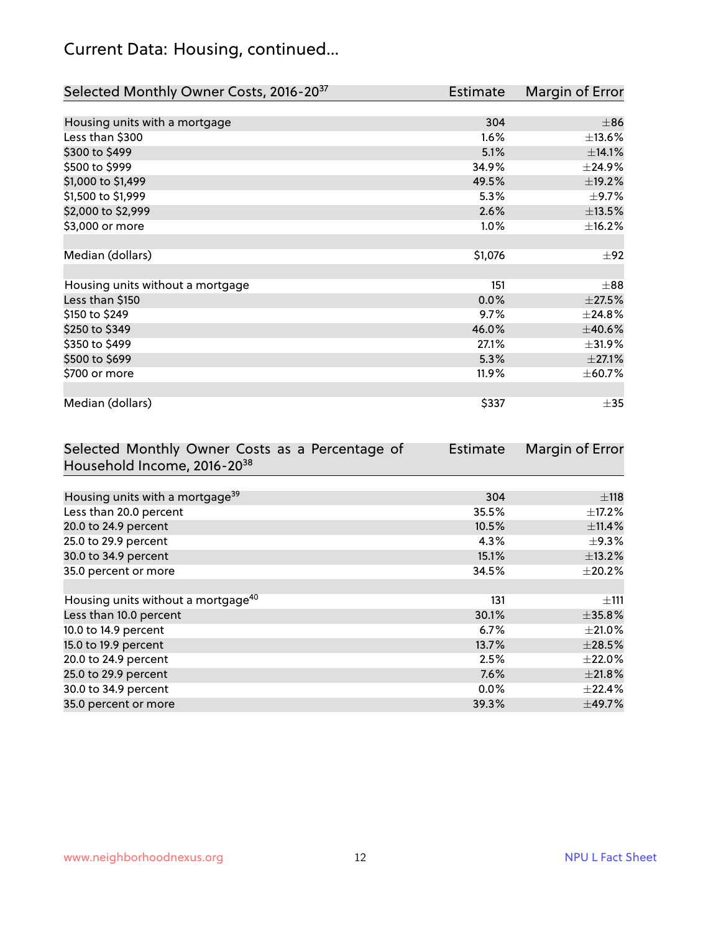## Current Data: Housing, continued...

| Selected Monthly Owner Costs, 2016-20 <sup>37</sup> | <b>Estimate</b> | Margin of Error |
|-----------------------------------------------------|-----------------|-----------------|
|                                                     |                 |                 |
| Housing units with a mortgage                       | 304             | $\pm$ 86        |
| Less than \$300                                     | 1.6%            | $\pm$ 13.6%     |
| \$300 to \$499                                      | 5.1%            | ±14.1%          |
| \$500 to \$999                                      | 34.9%           | ±24.9%          |
| \$1,000 to \$1,499                                  | 49.5%           | ±19.2%          |
| \$1,500 to \$1,999                                  | 5.3%            | $\pm$ 9.7%      |
| \$2,000 to \$2,999                                  | 2.6%            | ±13.5%          |
| \$3,000 or more                                     | 1.0%            | ±16.2%          |
|                                                     |                 |                 |
| Median (dollars)                                    | \$1,076         | ±92             |
|                                                     |                 |                 |
| Housing units without a mortgage                    | 151             | $\pm$ 88        |
| Less than \$150                                     | 0.0%            | $\pm 27.5\%$    |
| \$150 to \$249                                      | 9.7%            | $\pm$ 24.8%     |
| \$250 to \$349                                      | 46.0%           | ±40.6%          |
| \$350 to \$499                                      | 27.1%           | ±31.9%          |
| \$500 to \$699                                      | 5.3%            | ±27.1%          |
| \$700 or more                                       | 11.9%           | ± 60.7%         |
|                                                     |                 |                 |
| Median (dollars)                                    | \$337           | $\pm$ 35        |

| Selected Monthly Owner Costs as a Percentage of | <b>Estimate</b> | Margin of Error |
|-------------------------------------------------|-----------------|-----------------|
| Household Income, 2016-20 <sup>38</sup>         |                 |                 |
|                                                 |                 |                 |
| Housing units with a mortgage <sup>39</sup>     | 304             | $\pm$ 118       |
| Less than 20.0 percent                          | 35.5%           | $\pm$ 17.2%     |
| 20.0 to 24.9 percent                            | 10.5%           | ±11.4%          |
| 25.0 to 29.9 percent                            | 4.3%            | $\pm$ 9.3%      |
| 30.0 to 34.9 percent                            | 15.1%           | ±13.2%          |
| 35.0 percent or more                            | 34.5%           | $\pm 20.2\%$    |
|                                                 |                 |                 |
| Housing units without a mortgage <sup>40</sup>  | 131             | ±111            |
| Less than 10.0 percent                          | 30.1%           | $\pm$ 35.8%     |
| 10.0 to 14.9 percent                            | 6.7%            | $\pm 21.0\%$    |
| 15.0 to 19.9 percent                            | 13.7%           | $\pm 28.5\%$    |
| 20.0 to 24.9 percent                            | 2.5%            | $\pm 22.0\%$    |
| 25.0 to 29.9 percent                            | 7.6%            | ±21.8%          |
| 30.0 to 34.9 percent                            | $0.0\%$         | $\pm$ 22.4%     |
| 35.0 percent or more                            | 39.3%           | $\pm$ 49.7%     |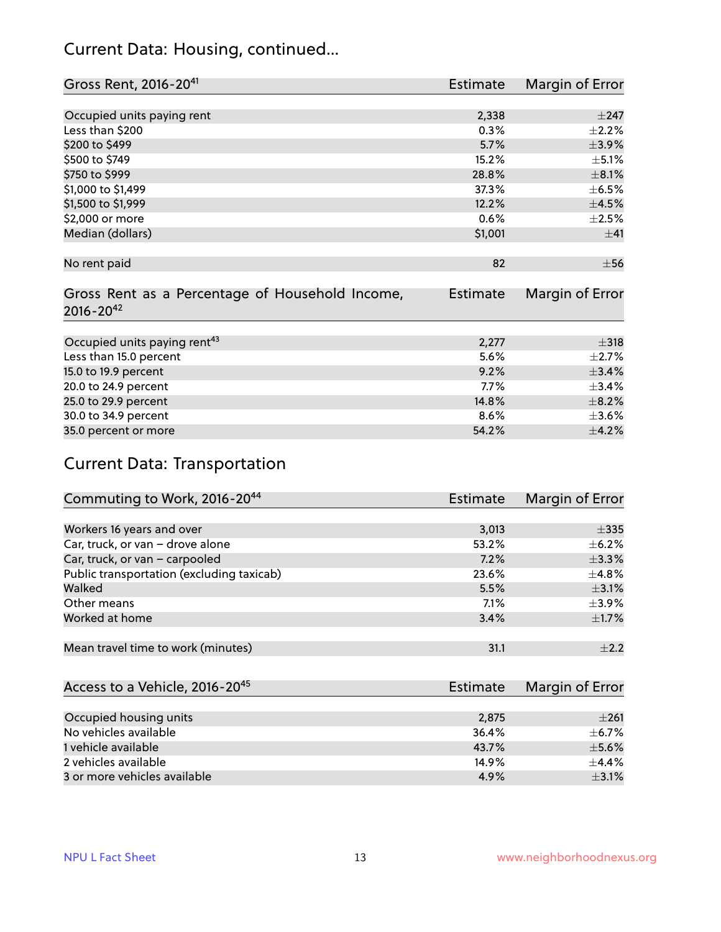#### Current Data: Housing, continued...

| Gross Rent, 2016-20 <sup>41</sup>               | <b>Estimate</b> | Margin of Error |
|-------------------------------------------------|-----------------|-----------------|
|                                                 |                 |                 |
| Occupied units paying rent                      | 2,338           | $\pm$ 247       |
| Less than \$200                                 | 0.3%            | $\pm 2.2\%$     |
| \$200 to \$499                                  | 5.7%            | ±3.9%           |
| \$500 to \$749                                  | 15.2%           | $\pm$ 5.1%      |
| \$750 to \$999                                  | 28.8%           | $\pm$ 8.1%      |
| \$1,000 to \$1,499                              | 37.3%           | $\pm$ 6.5%      |
| \$1,500 to \$1,999                              | 12.2%           | $\pm 4.5\%$     |
| \$2,000 or more                                 | 0.6%            | $\pm 2.5\%$     |
| Median (dollars)                                | \$1,001         | ±41             |
|                                                 |                 |                 |
| No rent paid                                    | 82              | $\pm$ 56        |
|                                                 |                 |                 |
| Gross Rent as a Percentage of Household Income, | <b>Estimate</b> | Margin of Error |
| $2016 - 20^{42}$                                |                 |                 |
|                                                 |                 |                 |
| Occupied units paying rent <sup>43</sup>        | 2,277           | $\pm$ 318       |
| Less than 15.0 percent                          | 5.6%            | $\pm 2.7\%$     |
| 15.0 to 19.9 percent                            | 9.2%            | ±3.4%           |
| 20.0 to 24.9 percent                            | 7.7%            | $\pm$ 3.4%      |
| 25.0 to 29.9 percent                            | 14.8%           | $\pm$ 8.2%      |
| 30.0 to 34.9 percent                            | 8.6%            | $\pm 3.6\%$     |
| 35.0 percent or more                            | 54.2%           | $\pm$ 4.2%      |

## Current Data: Transportation

| Commuting to Work, 2016-20 <sup>44</sup>  | Estimate | Margin of Error |
|-------------------------------------------|----------|-----------------|
|                                           |          |                 |
| Workers 16 years and over                 | 3,013    | $\pm$ 335       |
| Car, truck, or van - drove alone          | 53.2%    | $\pm$ 6.2%      |
| Car, truck, or van - carpooled            | 7.2%     | $\pm$ 3.3%      |
| Public transportation (excluding taxicab) | 23.6%    | $\pm$ 4.8%      |
| Walked                                    | 5.5%     | $\pm$ 3.1%      |
| Other means                               | $7.1\%$  | $\pm$ 3.9%      |
| Worked at home                            | 3.4%     | $\pm$ 1.7%      |
|                                           |          |                 |
| Mean travel time to work (minutes)        | 31.1     | $+2.2$          |

| Access to a Vehicle, 2016-20 <sup>45</sup> | Estimate | Margin of Error |
|--------------------------------------------|----------|-----------------|
|                                            |          |                 |
| Occupied housing units                     | 2,875    | $\pm 261$       |
| No vehicles available                      | 36.4%    | $+6.7%$         |
| 1 vehicle available                        | 43.7%    | $\pm$ 5.6%      |
| 2 vehicles available                       | 14.9%    | $+4.4%$         |
| 3 or more vehicles available               | 4.9%     | $\pm$ 3.1%      |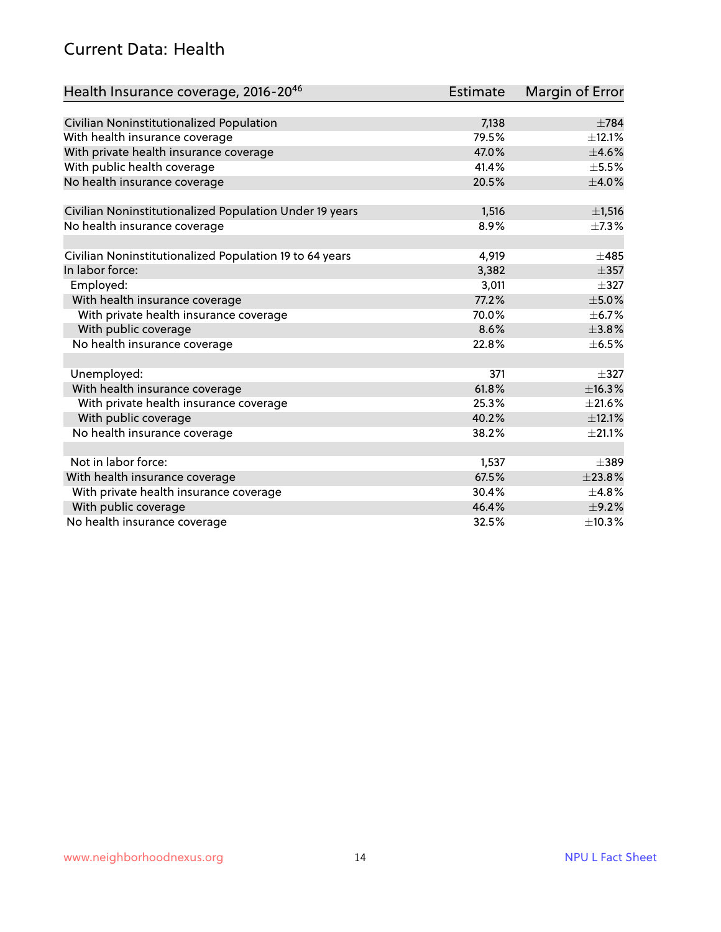#### Current Data: Health

| Health Insurance coverage, 2016-2046                    | <b>Estimate</b> | Margin of Error |
|---------------------------------------------------------|-----------------|-----------------|
|                                                         |                 |                 |
| Civilian Noninstitutionalized Population                | 7,138           | $\pm 784$       |
| With health insurance coverage                          | 79.5%           | $\pm$ 12.1%     |
| With private health insurance coverage                  | 47.0%           | $\pm$ 4.6%      |
| With public health coverage                             | 41.4%           | $\pm$ 5.5%      |
| No health insurance coverage                            | 20.5%           | $\pm$ 4.0%      |
| Civilian Noninstitutionalized Population Under 19 years | 1,516           | ±1,516          |
| No health insurance coverage                            | 8.9%            | $\pm$ 7.3%      |
| Civilian Noninstitutionalized Population 19 to 64 years | 4,919           | $\pm 485$       |
| In labor force:                                         | 3,382           | $\pm$ 357       |
| Employed:                                               | 3,011           | $\pm$ 327       |
| With health insurance coverage                          | 77.2%           | $\pm$ 5.0%      |
| With private health insurance coverage                  | 70.0%           | $\pm$ 6.7%      |
| With public coverage                                    | 8.6%            | ±3.8%           |
| No health insurance coverage                            | 22.8%           | $\pm$ 6.5%      |
| Unemployed:                                             | 371             | $+327$          |
| With health insurance coverage                          | 61.8%           | ±16.3%          |
| With private health insurance coverage                  | 25.3%           | $\pm 21.6\%$    |
| With public coverage                                    | 40.2%           | ±12.1%          |
| No health insurance coverage                            | 38.2%           | $\pm 21.1\%$    |
|                                                         |                 |                 |
| Not in labor force:                                     | 1,537           | $\pm$ 389       |
| With health insurance coverage                          | 67.5%           | $\pm 23.8\%$    |
| With private health insurance coverage                  | 30.4%           | ±4.8%           |
| With public coverage                                    | 46.4%           | $\pm$ 9.2%      |
| No health insurance coverage                            | 32.5%           | ±10.3%          |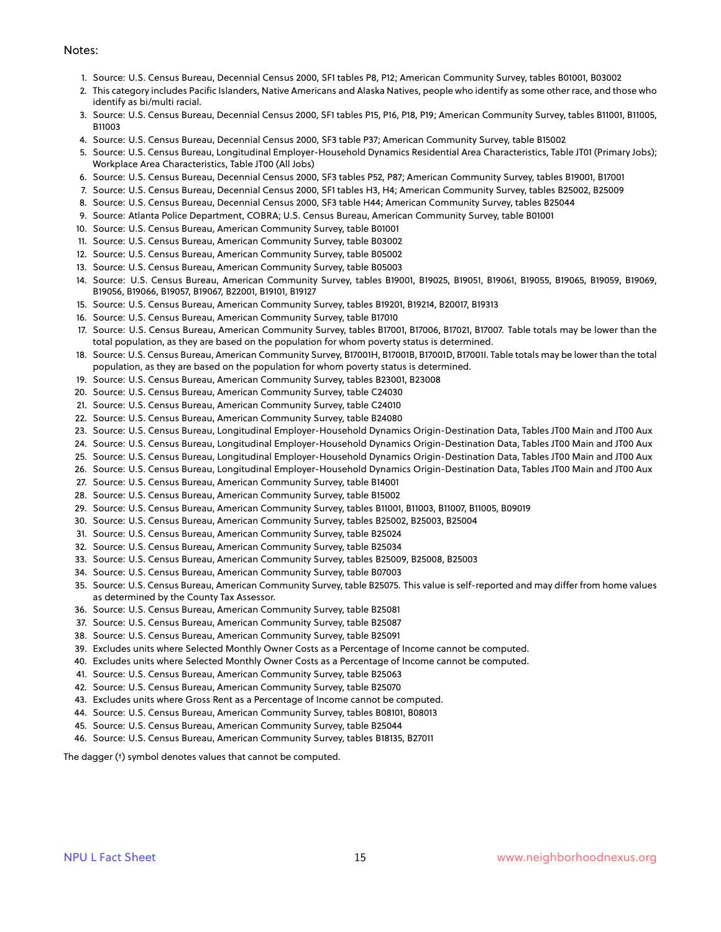#### Notes:

- 1. Source: U.S. Census Bureau, Decennial Census 2000, SF1 tables P8, P12; American Community Survey, tables B01001, B03002
- 2. This category includes Pacific Islanders, Native Americans and Alaska Natives, people who identify as some other race, and those who identify as bi/multi racial.
- 3. Source: U.S. Census Bureau, Decennial Census 2000, SF1 tables P15, P16, P18, P19; American Community Survey, tables B11001, B11005, B11003
- 4. Source: U.S. Census Bureau, Decennial Census 2000, SF3 table P37; American Community Survey, table B15002
- 5. Source: U.S. Census Bureau, Longitudinal Employer-Household Dynamics Residential Area Characteristics, Table JT01 (Primary Jobs); Workplace Area Characteristics, Table JT00 (All Jobs)
- 6. Source: U.S. Census Bureau, Decennial Census 2000, SF3 tables P52, P87; American Community Survey, tables B19001, B17001
- 7. Source: U.S. Census Bureau, Decennial Census 2000, SF1 tables H3, H4; American Community Survey, tables B25002, B25009
- 8. Source: U.S. Census Bureau, Decennial Census 2000, SF3 table H44; American Community Survey, tables B25044
- 9. Source: Atlanta Police Department, COBRA; U.S. Census Bureau, American Community Survey, table B01001
- 10. Source: U.S. Census Bureau, American Community Survey, table B01001
- 11. Source: U.S. Census Bureau, American Community Survey, table B03002
- 12. Source: U.S. Census Bureau, American Community Survey, table B05002
- 13. Source: U.S. Census Bureau, American Community Survey, table B05003
- 14. Source: U.S. Census Bureau, American Community Survey, tables B19001, B19025, B19051, B19061, B19055, B19065, B19059, B19069, B19056, B19066, B19057, B19067, B22001, B19101, B19127
- 15. Source: U.S. Census Bureau, American Community Survey, tables B19201, B19214, B20017, B19313
- 16. Source: U.S. Census Bureau, American Community Survey, table B17010
- 17. Source: U.S. Census Bureau, American Community Survey, tables B17001, B17006, B17021, B17007. Table totals may be lower than the total population, as they are based on the population for whom poverty status is determined.
- 18. Source: U.S. Census Bureau, American Community Survey, B17001H, B17001B, B17001D, B17001I. Table totals may be lower than the total population, as they are based on the population for whom poverty status is determined.
- 19. Source: U.S. Census Bureau, American Community Survey, tables B23001, B23008
- 20. Source: U.S. Census Bureau, American Community Survey, table C24030
- 21. Source: U.S. Census Bureau, American Community Survey, table C24010
- 22. Source: U.S. Census Bureau, American Community Survey, table B24080
- 23. Source: U.S. Census Bureau, Longitudinal Employer-Household Dynamics Origin-Destination Data, Tables JT00 Main and JT00 Aux
- 24. Source: U.S. Census Bureau, Longitudinal Employer-Household Dynamics Origin-Destination Data, Tables JT00 Main and JT00 Aux
- 25. Source: U.S. Census Bureau, Longitudinal Employer-Household Dynamics Origin-Destination Data, Tables JT00 Main and JT00 Aux
- 26. Source: U.S. Census Bureau, Longitudinal Employer-Household Dynamics Origin-Destination Data, Tables JT00 Main and JT00 Aux
- 27. Source: U.S. Census Bureau, American Community Survey, table B14001
- 28. Source: U.S. Census Bureau, American Community Survey, table B15002
- 29. Source: U.S. Census Bureau, American Community Survey, tables B11001, B11003, B11007, B11005, B09019
- 30. Source: U.S. Census Bureau, American Community Survey, tables B25002, B25003, B25004
- 31. Source: U.S. Census Bureau, American Community Survey, table B25024
- 32. Source: U.S. Census Bureau, American Community Survey, table B25034
- 33. Source: U.S. Census Bureau, American Community Survey, tables B25009, B25008, B25003
- 34. Source: U.S. Census Bureau, American Community Survey, table B07003
- 35. Source: U.S. Census Bureau, American Community Survey, table B25075. This value is self-reported and may differ from home values as determined by the County Tax Assessor.
- 36. Source: U.S. Census Bureau, American Community Survey, table B25081
- 37. Source: U.S. Census Bureau, American Community Survey, table B25087
- 38. Source: U.S. Census Bureau, American Community Survey, table B25091
- 39. Excludes units where Selected Monthly Owner Costs as a Percentage of Income cannot be computed.
- 40. Excludes units where Selected Monthly Owner Costs as a Percentage of Income cannot be computed.
- 41. Source: U.S. Census Bureau, American Community Survey, table B25063
- 42. Source: U.S. Census Bureau, American Community Survey, table B25070
- 43. Excludes units where Gross Rent as a Percentage of Income cannot be computed.
- 44. Source: U.S. Census Bureau, American Community Survey, tables B08101, B08013
- 45. Source: U.S. Census Bureau, American Community Survey, table B25044
- 46. Source: U.S. Census Bureau, American Community Survey, tables B18135, B27011

The dagger (†) symbol denotes values that cannot be computed.